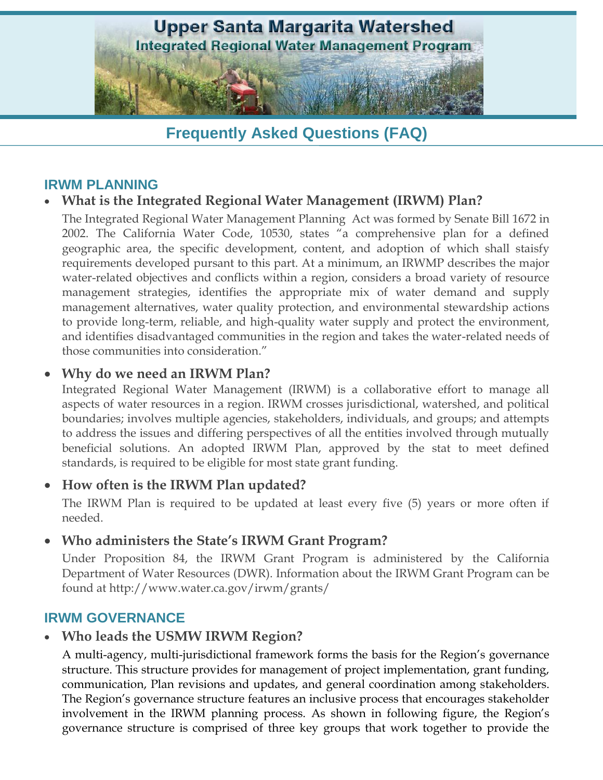

# **Frequently Asked Questions (FAQ)**

### **IRWM PLANNING**

### **What is the Integrated Regional Water Management (IRWM) Plan?**

The Integrated Regional Water Management Planning Act was formed by Senate Bill 1672 in 2002. The California Water Code, 10530, states "a comprehensive plan for a defined geographic area, the specific development, content, and adoption of which shall staisfy requirements developed pursant to this part. At a minimum, an IRWMP describes the major water-related objectives and conflicts within a region, considers a broad variety of resource management strategies, identifies the appropriate mix of water demand and supply management alternatives, water quality protection, and environmental stewardship actions to provide long-term, reliable, and high-quality water supply and protect the environment, and identifies disadvantaged communities in the region and takes the water-related needs of those communities into consideration."

#### **Why do we need an IRWM Plan?**

Integrated Regional Water Management (IRWM) is a collaborative effort to manage all aspects of water resources in a region. IRWM crosses jurisdictional, watershed, and political boundaries; involves multiple agencies, stakeholders, individuals, and groups; and attempts to address the issues and differing perspectives of all the entities involved through mutually beneficial solutions. An adopted IRWM Plan, approved by the stat to meet defined standards, is required to be eligible for most state grant funding.

#### **How often is the IRWM Plan updated?**

The IRWM Plan is required to be updated at least every five (5) years or more often if needed.

#### **Who administers the State's IRWM Grant Program?**

Under Proposition 84, the IRWM Grant Program is administered by the California Department of Water Resources (DWR). Information about the IRWM Grant Program can be found at http://www.water.ca.gov/irwm/grants/

#### **IRWM GOVERNANCE**

#### **Who leads the USMW IRWM Region?**

A multi-agency, multi-jurisdictional framework forms the basis for the Region's governance structure. This structure provides for management of project implementation, grant funding, communication, Plan revisions and updates, and general coordination among stakeholders. The Region's governance structure features an inclusive process that encourages stakeholder involvement in the IRWM planning process. As shown in following figure, the Region's governance structure is comprised of three key groups that work together to provide the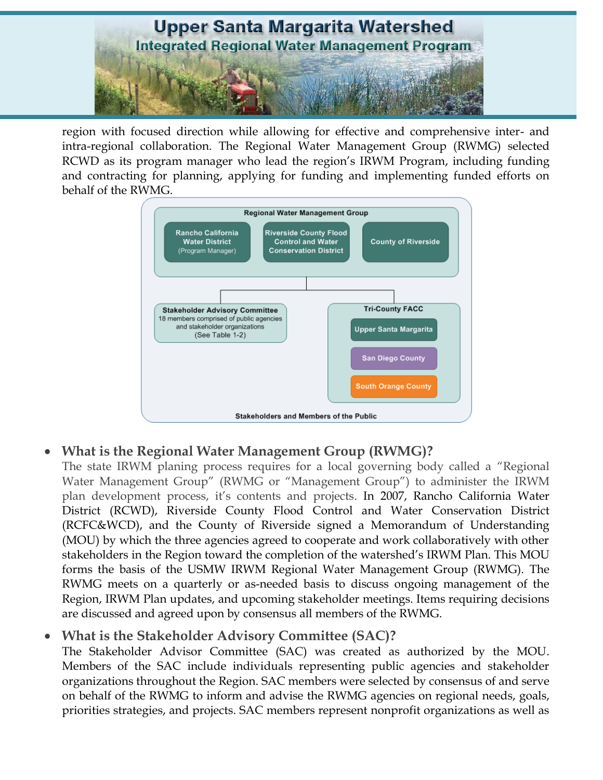

region with focused direction while allowing for effective and comprehensive inter- and intra-regional collaboration. The Regional Water Management Group (RWMG) selected RCWD as its program manager who lead the region's IRWM Program, including funding and contracting for planning, applying for funding and implementing funded efforts on behalf of the RWMG.



# **What is the Regional Water Management Group (RWMG)?**

The state IRWM planing process requires for a local governing body called a "Regional Water Management Group" (RWMG or "Management Group") to administer the IRWM plan development process, it's contents and projects. In 2007, Rancho California Water District (RCWD), Riverside County Flood Control and Water Conservation District (RCFC&WCD), and the County of Riverside signed a Memorandum of Understanding (MOU) by which the three agencies agreed to cooperate and work collaboratively with other stakeholders in the Region toward the completion of the watershed's IRWM Plan. This MOU forms the basis of the USMW IRWM Regional Water Management Group (RWMG). The RWMG meets on a quarterly or as-needed basis to discuss ongoing management of the Region, IRWM Plan updates, and upcoming stakeholder meetings. Items requiring decisions are discussed and agreed upon by consensus all members of the RWMG.

### **What is the Stakeholder Advisory Committee (SAC)?**

The Stakeholder Advisor Committee (SAC) was created as authorized by the MOU. Members of the SAC include individuals representing public agencies and stakeholder organizations throughout the Region. SAC members were selected by consensus of and serve on behalf of the RWMG to inform and advise the RWMG agencies on regional needs, goals, priorities strategies, and projects. SAC members represent nonprofit organizations as well as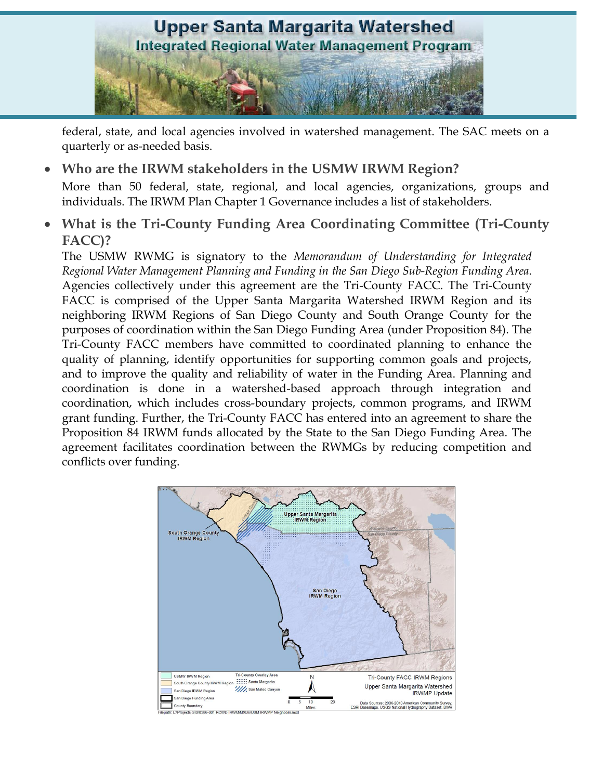

federal, state, and local agencies involved in watershed management. The SAC meets on a quarterly or as-needed basis.

**Who are the IRWM stakeholders in the USMW IRWM Region?**

More than 50 federal, state, regional, and local agencies, organizations, groups and individuals. The IRWM Plan Chapter 1 Governance includes a list of stakeholders.

 **What is the Tri-County Funding Area Coordinating Committee (Tri-County FACC)?** 

The USMW RWMG is signatory to the *Memorandum of Understanding for Integrated Regional Water Management Planning and Funding in the San Diego Sub-Region Funding Area*. Agencies collectively under this agreement are the Tri-County FACC. The Tri-County FACC is comprised of the Upper Santa Margarita Watershed IRWM Region and its neighboring IRWM Regions of San Diego County and South Orange County for the purposes of coordination within the San Diego Funding Area (under Proposition 84). The Tri-County FACC members have committed to coordinated planning to enhance the quality of planning, identify opportunities for supporting common goals and projects, and to improve the quality and reliability of water in the Funding Area. Planning and coordination is done in a watershed-based approach through integration and coordination, which includes cross-boundary projects, common programs, and IRWM grant funding. Further, the Tri-County FACC has entered into an agreement to share the Proposition 84 IRWM funds allocated by the State to the San Diego Funding Area. The agreement facilitates coordination between the RWMGs by reducing competition and conflicts over funding.